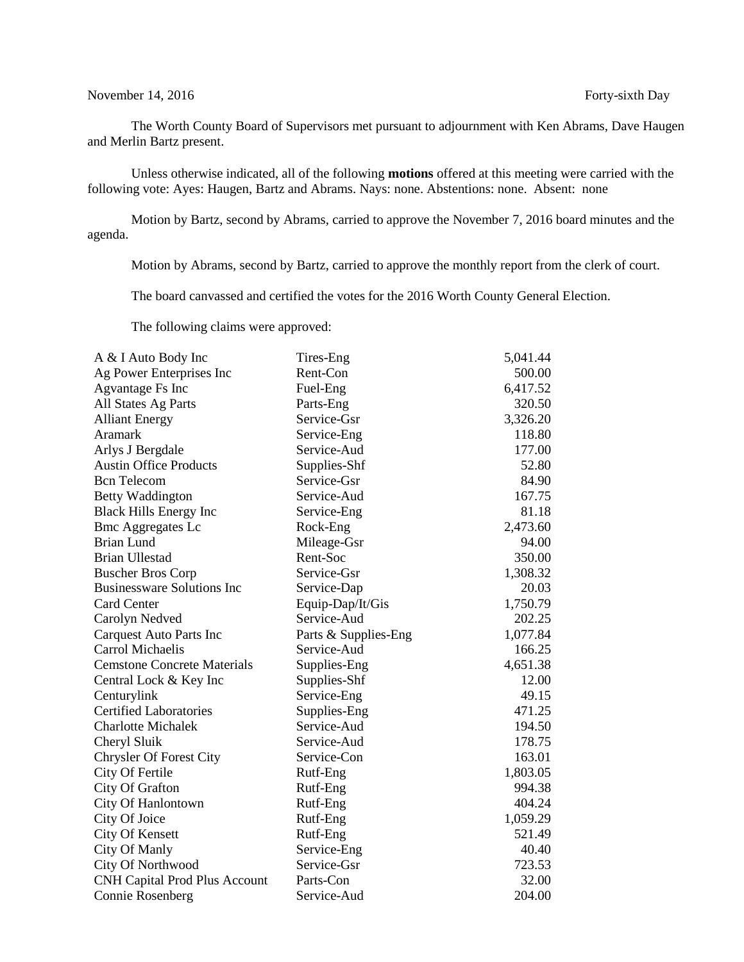## November 14, 2016 Forty-sixth Day

The Worth County Board of Supervisors met pursuant to adjournment with Ken Abrams, Dave Haugen and Merlin Bartz present.

Unless otherwise indicated, all of the following **motions** offered at this meeting were carried with the following vote: Ayes: Haugen, Bartz and Abrams. Nays: none. Abstentions: none. Absent: none

Motion by Bartz, second by Abrams, carried to approve the November 7, 2016 board minutes and the agenda.

Motion by Abrams, second by Bartz, carried to approve the monthly report from the clerk of court.

The board canvassed and certified the votes for the 2016 Worth County General Election.

The following claims were approved:

| A & I Auto Body Inc                  | Tires-Eng            | 5,041.44 |
|--------------------------------------|----------------------|----------|
| Ag Power Enterprises Inc             | Rent-Con             | 500.00   |
| <b>Agvantage Fs Inc</b>              | Fuel-Eng             | 6,417.52 |
| All States Ag Parts                  | Parts-Eng            | 320.50   |
| <b>Alliant Energy</b>                | Service-Gsr          | 3,326.20 |
| Aramark                              | Service-Eng          | 118.80   |
| Arlys J Bergdale                     | Service-Aud          | 177.00   |
| <b>Austin Office Products</b>        | Supplies-Shf         | 52.80    |
| <b>Bcn</b> Telecom                   | Service-Gsr          | 84.90    |
| <b>Betty Waddington</b>              | Service-Aud          | 167.75   |
| <b>Black Hills Energy Inc</b>        | Service-Eng          | 81.18    |
| <b>Bmc Aggregates Lc</b>             | Rock-Eng             | 2,473.60 |
| <b>Brian Lund</b>                    | Mileage-Gsr          | 94.00    |
| <b>Brian Ullestad</b>                | Rent-Soc             | 350.00   |
| <b>Buscher Bros Corp</b>             | Service-Gsr          | 1,308.32 |
| <b>Businessware Solutions Inc</b>    | Service-Dap          | 20.03    |
| <b>Card Center</b>                   | Equip-Dap/It/Gis     | 1,750.79 |
| Carolyn Nedved                       | Service-Aud          | 202.25   |
| <b>Carquest Auto Parts Inc</b>       | Parts & Supplies-Eng | 1,077.84 |
| Carrol Michaelis                     | Service-Aud          | 166.25   |
| <b>Cemstone Concrete Materials</b>   | Supplies-Eng         | 4,651.38 |
| Central Lock & Key Inc               | Supplies-Shf         | 12.00    |
| Centurylink                          | Service-Eng          | 49.15    |
| <b>Certified Laboratories</b>        | Supplies-Eng         | 471.25   |
| <b>Charlotte Michalek</b>            | Service-Aud          | 194.50   |
| Cheryl Sluik                         | Service-Aud          | 178.75   |
| <b>Chrysler Of Forest City</b>       | Service-Con          | 163.01   |
| City Of Fertile                      | Rutf-Eng             | 1,803.05 |
| City Of Grafton                      | Rutf-Eng             | 994.38   |
| City Of Hanlontown                   | Rutf-Eng             | 404.24   |
| City Of Joice                        | Rutf-Eng             | 1,059.29 |
| <b>City Of Kensett</b>               | Rutf-Eng             | 521.49   |
| <b>City Of Manly</b>                 | Service-Eng          | 40.40    |
| City Of Northwood                    | Service-Gsr          | 723.53   |
| <b>CNH Capital Prod Plus Account</b> | Parts-Con            | 32.00    |
| Connie Rosenberg                     | Service-Aud          | 204.00   |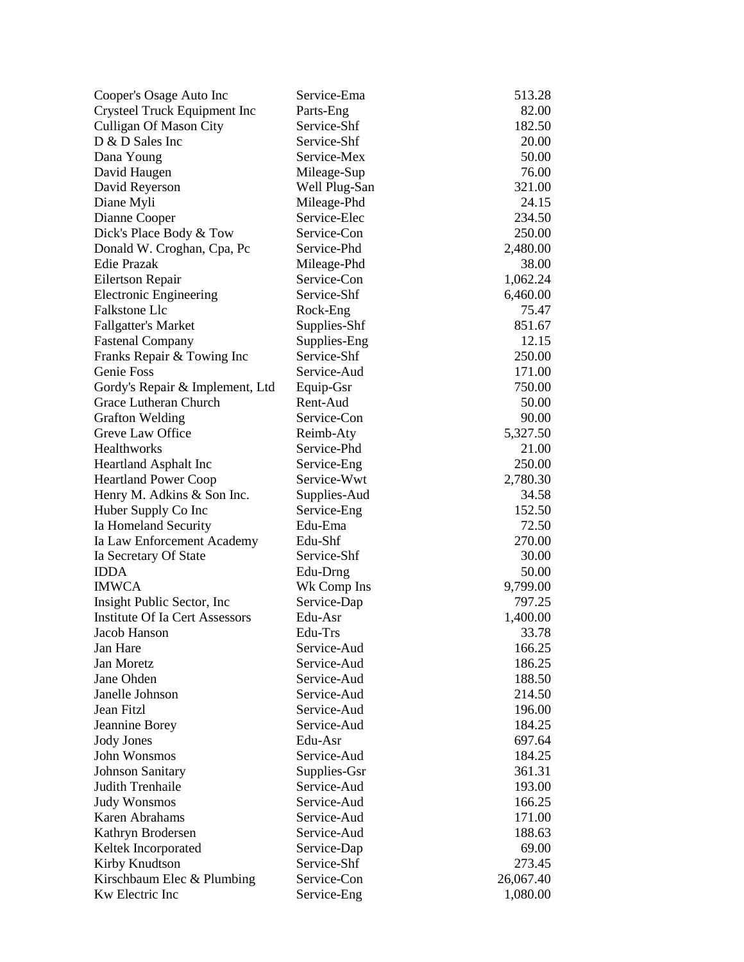| Cooper's Osage Auto Inc               | Service-Ema   | 513.28    |
|---------------------------------------|---------------|-----------|
| Crysteel Truck Equipment Inc          | Parts-Eng     | 82.00     |
| <b>Culligan Of Mason City</b>         | Service-Shf   | 182.50    |
| D & D Sales Inc                       | Service-Shf   | 20.00     |
| Dana Young                            | Service-Mex   | 50.00     |
| David Haugen                          | Mileage-Sup   | 76.00     |
| David Reyerson                        | Well Plug-San | 321.00    |
| Diane Myli                            | Mileage-Phd   | 24.15     |
| Dianne Cooper                         | Service-Elec  | 234.50    |
| Dick's Place Body & Tow               | Service-Con   | 250.00    |
| Donald W. Croghan, Cpa, Pc            | Service-Phd   | 2,480.00  |
| Edie Prazak                           | Mileage-Phd   | 38.00     |
| Eilertson Repair                      | Service-Con   | 1,062.24  |
| <b>Electronic Engineering</b>         | Service-Shf   | 6,460.00  |
| <b>Falkstone Llc</b>                  | Rock-Eng      | 75.47     |
| <b>Fallgatter's Market</b>            | Supplies-Shf  | 851.67    |
| <b>Fastenal Company</b>               | Supplies-Eng  | 12.15     |
| Franks Repair & Towing Inc            | Service-Shf   | 250.00    |
| Genie Foss                            | Service-Aud   | 171.00    |
| Gordy's Repair & Implement, Ltd       | Equip-Gsr     | 750.00    |
| Grace Lutheran Church                 | Rent-Aud      | 50.00     |
| <b>Grafton Welding</b>                | Service-Con   | 90.00     |
| Greve Law Office                      | Reimb-Aty     | 5,327.50  |
| Healthworks                           | Service-Phd   | 21.00     |
| <b>Heartland Asphalt Inc</b>          | Service-Eng   | 250.00    |
| <b>Heartland Power Coop</b>           | Service-Wwt   | 2,780.30  |
| Henry M. Adkins & Son Inc.            | Supplies-Aud  | 34.58     |
| Huber Supply Co Inc                   | Service-Eng   | 152.50    |
| Ia Homeland Security                  | Edu-Ema       | 72.50     |
| Ia Law Enforcement Academy            | Edu-Shf       | 270.00    |
| Ia Secretary Of State                 | Service-Shf   | 30.00     |
| <b>IDDA</b>                           | Edu-Drng      | 50.00     |
| <b>IMWCA</b>                          | Wk Comp Ins   | 9,799.00  |
| Insight Public Sector, Inc.           | Service-Dap   | 797.25    |
| <b>Institute Of Ia Cert Assessors</b> | Edu-Asr       | 1,400.00  |
| Jacob Hanson                          | Edu-Trs       | 33.78     |
| Jan Hare                              | Service-Aud   | 166.25    |
| Jan Moretz                            | Service-Aud   | 186.25    |
| Jane Ohden                            | Service-Aud   | 188.50    |
| Janelle Johnson                       | Service-Aud   | 214.50    |
| Jean Fitzl                            | Service-Aud   | 196.00    |
| Jeannine Borey                        | Service-Aud   | 184.25    |
| <b>Jody Jones</b>                     | Edu-Asr       | 697.64    |
| John Wonsmos                          | Service-Aud   | 184.25    |
| <b>Johnson Sanitary</b>               | Supplies-Gsr  | 361.31    |
| Judith Trenhaile                      | Service-Aud   | 193.00    |
| <b>Judy Wonsmos</b>                   | Service-Aud   | 166.25    |
| Karen Abrahams                        | Service-Aud   | 171.00    |
| Kathryn Brodersen                     | Service-Aud   | 188.63    |
| Keltek Incorporated                   | Service-Dap   | 69.00     |
| Kirby Knudtson                        | Service-Shf   | 273.45    |
| Kirschbaum Elec & Plumbing            | Service-Con   | 26,067.40 |
| Kw Electric Inc                       | Service-Eng   | 1,080.00  |
|                                       |               |           |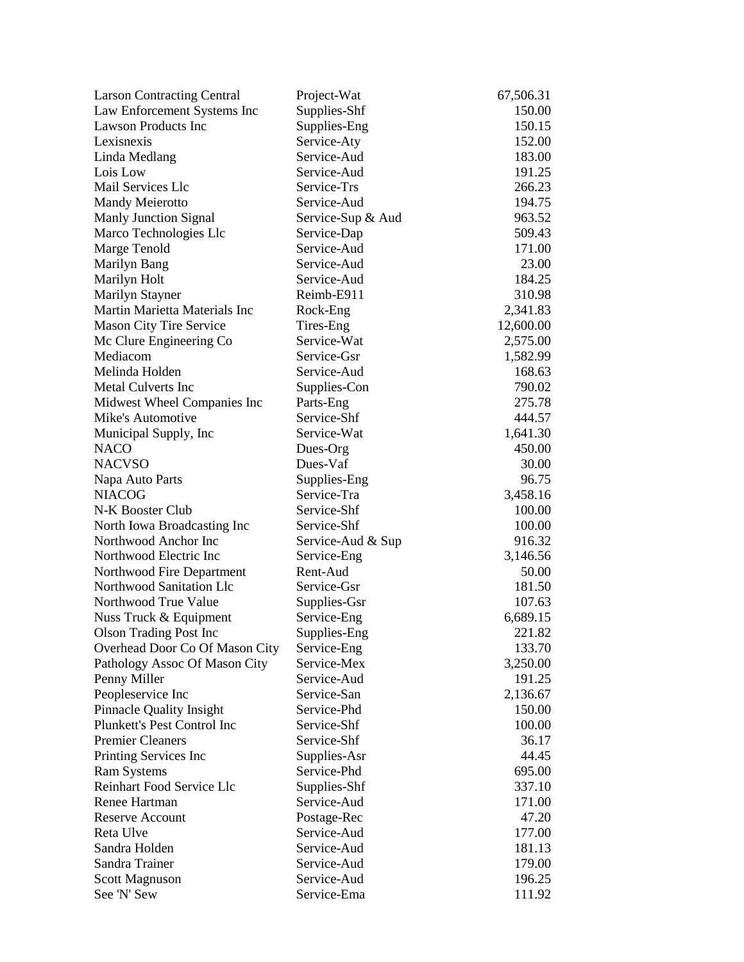| <b>Larson Contracting Central</b>                     | Project-Wat       | 67,506.31 |
|-------------------------------------------------------|-------------------|-----------|
| Law Enforcement Systems Inc                           | Supplies-Shf      | 150.00    |
| <b>Lawson Products Inc</b>                            | Supplies-Eng      | 150.15    |
| Lexisnexis                                            | Service-Aty       | 152.00    |
| Linda Medlang                                         | Service-Aud       | 183.00    |
| Lois Low                                              | Service-Aud       | 191.25    |
| Mail Services Llc                                     | Service-Trs       | 266.23    |
| <b>Mandy Meierotto</b>                                | Service-Aud       | 194.75    |
| Manly Junction Signal                                 | Service-Sup & Aud | 963.52    |
| Marco Technologies Llc                                | Service-Dap       | 509.43    |
| Marge Tenold                                          | Service-Aud       | 171.00    |
| Marilyn Bang                                          | Service-Aud       | 23.00     |
| Marilyn Holt                                          | Service-Aud       | 184.25    |
| Marilyn Stayner                                       | Reimb-E911        | 310.98    |
| Martin Marietta Materials Inc                         | Rock-Eng          | 2,341.83  |
| <b>Mason City Tire Service</b>                        | Tires-Eng         | 12,600.00 |
| Mc Clure Engineering Co                               | Service-Wat       | 2,575.00  |
| Mediacom                                              | Service-Gsr       | 1,582.99  |
| Melinda Holden                                        | Service-Aud       | 168.63    |
| <b>Metal Culverts Inc</b>                             | Supplies-Con      | 790.02    |
| Midwest Wheel Companies Inc                           | Parts-Eng         | 275.78    |
| Mike's Automotive                                     | Service-Shf       | 444.57    |
| Municipal Supply, Inc.                                | Service-Wat       | 1,641.30  |
| <b>NACO</b>                                           | Dues-Org          | 450.00    |
| <b>NACVSO</b>                                         | Dues-Vaf          | 30.00     |
| Napa Auto Parts                                       | Supplies-Eng      | 96.75     |
| <b>NIACOG</b>                                         | Service-Tra       | 3,458.16  |
| N-K Booster Club                                      | Service-Shf       | 100.00    |
| North Iowa Broadcasting Inc                           | Service-Shf       | 100.00    |
| Northwood Anchor Inc                                  | Service-Aud & Sup | 916.32    |
| Northwood Electric Inc                                | Service-Eng       | 3,146.56  |
|                                                       | Rent-Aud          |           |
| Northwood Fire Department<br>Northwood Sanitation Llc |                   | 50.00     |
| Northwood True Value                                  | Service-Gsr       | 181.50    |
|                                                       | Supplies-Gsr      | 107.63    |
| Nuss Truck & Equipment                                | Service-Eng       | 6,689.15  |
| <b>Olson Trading Post Inc</b>                         | Supplies-Eng      | 221.82    |
| Overhead Door Co Of Mason City                        | Service-Eng       | 133.70    |
| Pathology Assoc Of Mason City                         | Service-Mex       | 3,250.00  |
| Penny Miller                                          | Service-Aud       | 191.25    |
| Peopleservice Inc                                     | Service-San       | 2,136.67  |
| <b>Pinnacle Quality Insight</b>                       | Service-Phd       | 150.00    |
| Plunkett's Pest Control Inc                           | Service-Shf       | 100.00    |
| <b>Premier Cleaners</b>                               | Service-Shf       | 36.17     |
| Printing Services Inc                                 | Supplies-Asr      | 44.45     |
| <b>Ram Systems</b>                                    | Service-Phd       | 695.00    |
| Reinhart Food Service Llc                             | Supplies-Shf      | 337.10    |
| Renee Hartman                                         | Service-Aud       | 171.00    |
| <b>Reserve Account</b>                                | Postage-Rec       | 47.20     |
| Reta Ulve                                             | Service-Aud       | 177.00    |
| Sandra Holden                                         | Service-Aud       | 181.13    |
| Sandra Trainer                                        | Service-Aud       | 179.00    |
| Scott Magnuson                                        | Service-Aud       | 196.25    |
| See 'N' Sew                                           | Service-Ema       | 111.92    |